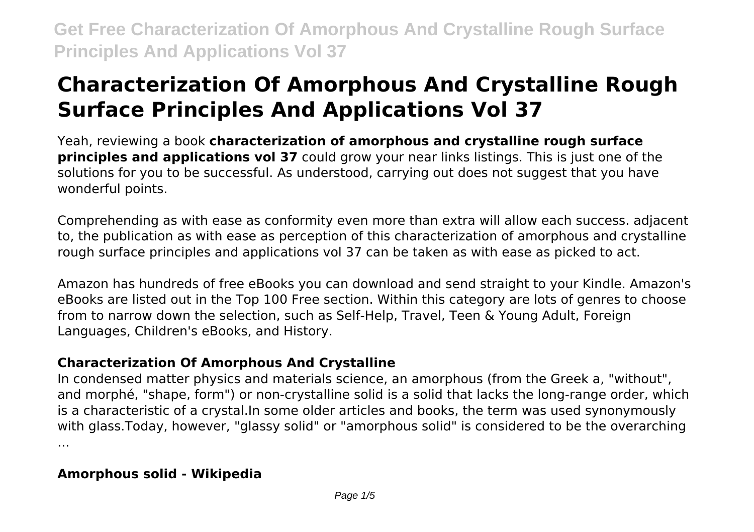# **Characterization Of Amorphous And Crystalline Rough Surface Principles And Applications Vol 37**

Yeah, reviewing a book **characterization of amorphous and crystalline rough surface principles and applications vol 37** could grow your near links listings. This is just one of the solutions for you to be successful. As understood, carrying out does not suggest that you have wonderful points.

Comprehending as with ease as conformity even more than extra will allow each success. adjacent to, the publication as with ease as perception of this characterization of amorphous and crystalline rough surface principles and applications vol 37 can be taken as with ease as picked to act.

Amazon has hundreds of free eBooks you can download and send straight to your Kindle. Amazon's eBooks are listed out in the Top 100 Free section. Within this category are lots of genres to choose from to narrow down the selection, such as Self-Help, Travel, Teen & Young Adult, Foreign Languages, Children's eBooks, and History.

# **Characterization Of Amorphous And Crystalline**

In condensed matter physics and materials science, an amorphous (from the Greek a, "without", and morphé, "shape, form") or non-crystalline solid is a solid that lacks the long-range order, which is a characteristic of a crystal.In some older articles and books, the term was used synonymously with glass.Today, however, "glassy solid" or "amorphous solid" is considered to be the overarching ...

# **Amorphous solid - Wikipedia**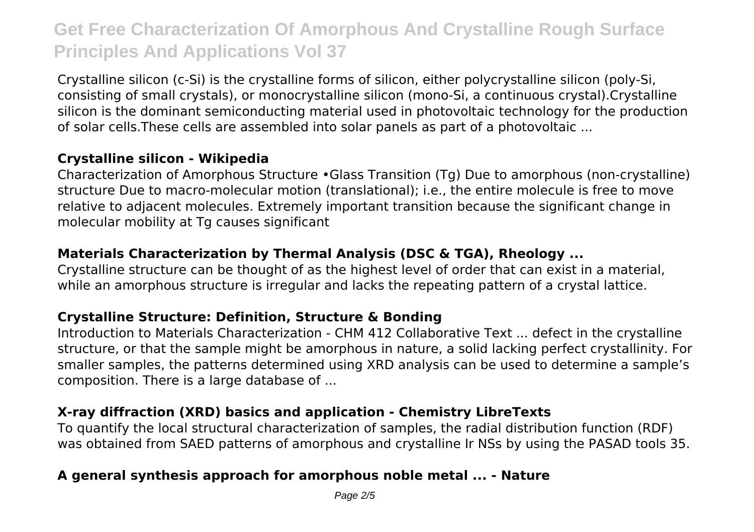Crystalline silicon (c-Si) is the crystalline forms of silicon, either polycrystalline silicon (poly-Si, consisting of small crystals), or monocrystalline silicon (mono-Si, a continuous crystal).Crystalline silicon is the dominant semiconducting material used in photovoltaic technology for the production of solar cells.These cells are assembled into solar panels as part of a photovoltaic ...

### **Crystalline silicon - Wikipedia**

Characterization of Amorphous Structure •Glass Transition (Tg) Due to amorphous (non-crystalline) structure Due to macro-molecular motion (translational); i.e., the entire molecule is free to move relative to adjacent molecules. Extremely important transition because the significant change in molecular mobility at Tg causes significant

### **Materials Characterization by Thermal Analysis (DSC & TGA), Rheology ...**

Crystalline structure can be thought of as the highest level of order that can exist in a material, while an amorphous structure is irregular and lacks the repeating pattern of a crystal lattice.

#### **Crystalline Structure: Definition, Structure & Bonding**

Introduction to Materials Characterization - CHM 412 Collaborative Text ... defect in the crystalline structure, or that the sample might be amorphous in nature, a solid lacking perfect crystallinity. For smaller samples, the patterns determined using XRD analysis can be used to determine a sample's composition. There is a large database of ...

# **X-ray diffraction (XRD) basics and application - Chemistry LibreTexts**

To quantify the local structural characterization of samples, the radial distribution function (RDF) was obtained from SAED patterns of amorphous and crystalline Ir NSs by using the PASAD tools 35.

# **A general synthesis approach for amorphous noble metal ... - Nature**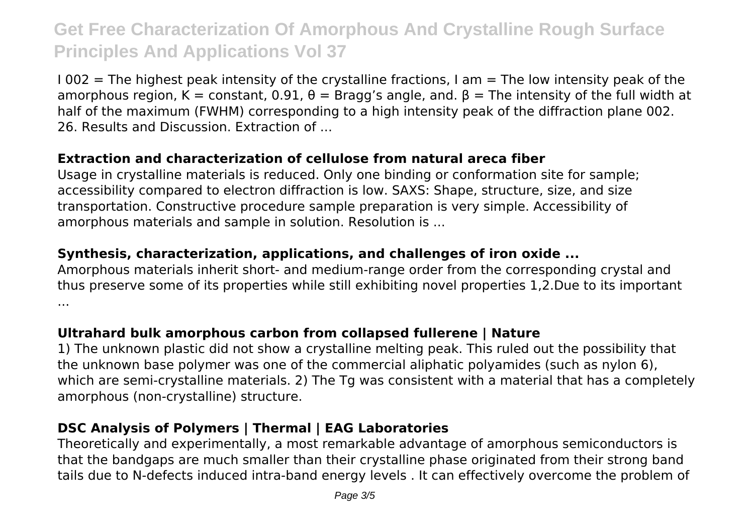$1002$  = The highest peak intensity of the crystalline fractions, I am = The low intensity peak of the amorphous region, K = constant, 0.91,  $\theta$  = Bragg's angle, and.  $\beta$  = The intensity of the full width at half of the maximum (FWHM) corresponding to a high intensity peak of the diffraction plane 002. 26. Results and Discussion. Extraction of ...

### **Extraction and characterization of cellulose from natural areca fiber**

Usage in crystalline materials is reduced. Only one binding or conformation site for sample; accessibility compared to electron diffraction is low. SAXS: Shape, structure, size, and size transportation. Constructive procedure sample preparation is very simple. Accessibility of amorphous materials and sample in solution. Resolution is ...

#### **Synthesis, characterization, applications, and challenges of iron oxide ...**

Amorphous materials inherit short- and medium-range order from the corresponding crystal and thus preserve some of its properties while still exhibiting novel properties 1,2.Due to its important ...

#### **Ultrahard bulk amorphous carbon from collapsed fullerene | Nature**

1) The unknown plastic did not show a crystalline melting peak. This ruled out the possibility that the unknown base polymer was one of the commercial aliphatic polyamides (such as nylon 6), which are semi-crystalline materials. 2) The Tg was consistent with a material that has a completely amorphous (non-crystalline) structure.

#### **DSC Analysis of Polymers | Thermal | EAG Laboratories**

Theoretically and experimentally, a most remarkable advantage of amorphous semiconductors is that the bandgaps are much smaller than their crystalline phase originated from their strong band tails due to N-defects induced intra-band energy levels . It can effectively overcome the problem of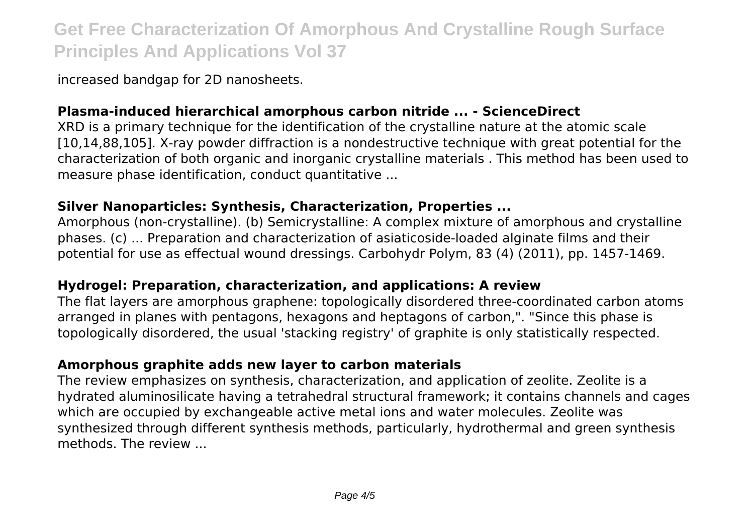increased bandgap for 2D nanosheets.

### **Plasma-induced hierarchical amorphous carbon nitride ... - ScienceDirect**

XRD is a primary technique for the identification of the crystalline nature at the atomic scale [10,14,88,105]. X-ray powder diffraction is a nondestructive technique with great potential for the characterization of both organic and inorganic crystalline materials . This method has been used to measure phase identification, conduct quantitative ...

#### **Silver Nanoparticles: Synthesis, Characterization, Properties ...**

Amorphous (non-crystalline). (b) Semicrystalline: A complex mixture of amorphous and crystalline phases. (c) ... Preparation and characterization of asiaticoside-loaded alginate films and their potential for use as effectual wound dressings. Carbohydr Polym, 83 (4) (2011), pp. 1457-1469.

#### **Hydrogel: Preparation, characterization, and applications: A review**

The flat layers are amorphous graphene: topologically disordered three-coordinated carbon atoms arranged in planes with pentagons, hexagons and heptagons of carbon,". "Since this phase is topologically disordered, the usual 'stacking registry' of graphite is only statistically respected.

# **Amorphous graphite adds new layer to carbon materials**

The review emphasizes on synthesis, characterization, and application of zeolite. Zeolite is a hydrated aluminosilicate having a tetrahedral structural framework; it contains channels and cages which are occupied by exchangeable active metal ions and water molecules. Zeolite was synthesized through different synthesis methods, particularly, hydrothermal and green synthesis methods. The review ...